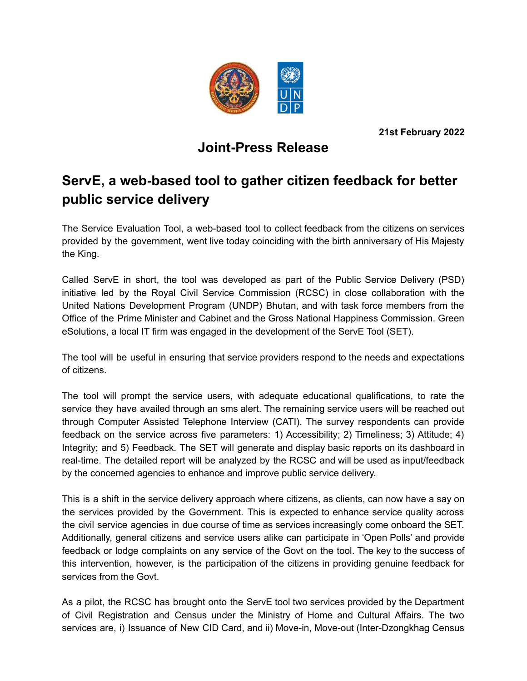

**21st February 2022**

## **Joint-Press Release**

## **ServE, a web-based tool to gather citizen feedback for better public service delivery**

The Service Evaluation Tool, a web-based tool to collect feedback from the citizens on services provided by the government, went live today coinciding with the birth anniversary of His Majesty the King.

Called ServE in short, the tool was developed as part of the Public Service Delivery (PSD) initiative led by the Royal Civil Service Commission (RCSC) in close collaboration with the United Nations Development Program (UNDP) Bhutan, and with task force members from the Office of the Prime Minister and Cabinet and the Gross National Happiness Commission. Green eSolutions, a local IT firm was engaged in the development of the ServE Tool (SET).

The tool will be useful in ensuring that service providers respond to the needs and expectations of citizens.

The tool will prompt the service users, with adequate educational qualifications, to rate the service they have availed through an sms alert. The remaining service users will be reached out through Computer Assisted Telephone Interview (CATI). The survey respondents can provide feedback on the service across five parameters: 1) Accessibility; 2) Timeliness; 3) Attitude; 4) Integrity; and 5) Feedback. The SET will generate and display basic reports on its dashboard in real-time. The detailed report will be analyzed by the RCSC and will be used as input/feedback by the concerned agencies to enhance and improve public service delivery.

This is a shift in the service delivery approach where citizens, as clients, can now have a say on the services provided by the Government. This is expected to enhance service quality across the civil service agencies in due course of time as services increasingly come onboard the SET. Additionally, general citizens and service users alike can participate in 'Open Polls' and provide feedback or lodge complaints on any service of the Govt on the tool. The key to the success of this intervention, however, is the participation of the citizens in providing genuine feedback for services from the Govt.

As a pilot, the RCSC has brought onto the ServE tool two services provided by the Department of Civil Registration and Census under the Ministry of Home and Cultural Affairs. The two services are, i) Issuance of New CID Card, and ii) Move-in, Move-out (Inter-Dzongkhag Census